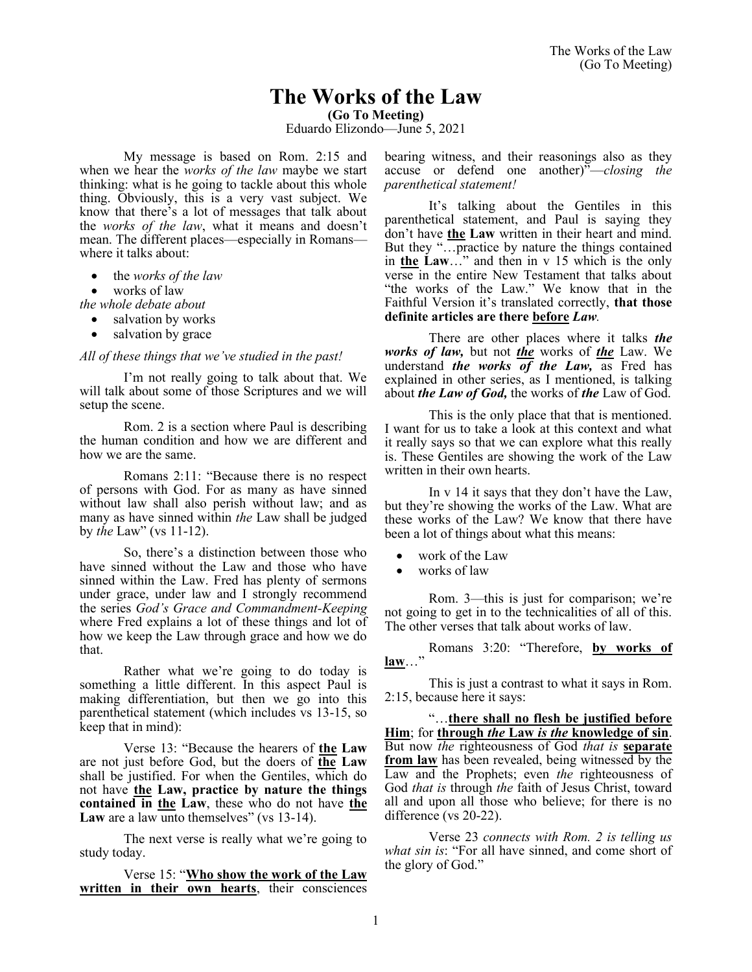# **The Works of the Law**

**(Go To Meeting)**

Eduardo Elizondo—June 5, 2021

My message is based on Rom. 2:15 and when we hear the *works of the law* maybe we start thinking: what is he going to tackle about this whole thing. Obviously, this is a very vast subject. We know that there's a lot of messages that talk about the *works of the law*, what it means and doesn't mean. The different places—especially in Romans where it talks about:

- the *works of the law*
- works of law

*the whole debate about* 

- salvation by works
- salvation by grace

#### *All of these things that we've studied in the past!*

I'm not really going to talk about that. We will talk about some of those Scriptures and we will setup the scene.

Rom. 2 is a section where Paul is describing the human condition and how we are different and how we are the same.

Romans 2:11: "Because there is no respect of persons with God. For as many as have sinned without law shall also perish without law; and as many as have sinned within *the* Law shall be judged by *the* Law" (vs 11-12).

So, there's a distinction between those who have sinned without the Law and those who have sinned within the Law. Fred has plenty of sermons under grace, under law and I strongly recommend the series *God's Grace and Commandment-Keeping* where Fred explains a lot of these things and lot of how we keep the Law through grace and how we do that.

Rather what we're going to do today is something a little different. In this aspect Paul is making differentiation, but then we go into this parenthetical statement (which includes vs 13-15, so keep that in mind):

Verse 13: "Because the hearers of **the Law** are not just before God, but the doers of **the Law** shall be justified. For when the Gentiles, which do not have **the Law, practice by nature the things contained in the Law**, these who do not have **the** Law are a law unto themselves" (vs 13-14).

The next verse is really what we're going to study today.

Verse 15: "**Who show the work of the Law written in their own hearts**, their consciences bearing witness, and their reasonings also as they accuse or defend one another)"—*closing the parenthetical statement!*

It's talking about the Gentiles in this parenthetical statement, and Paul is saying they don't have **the Law** written in their heart and mind. But they "…practice by nature the things contained in **the Law**…" and then in v 15 which is the only verse in the entire New Testament that talks about "the works of the Law." We know that in the Faithful Version it's translated correctly, **that those definite articles are there before** *Law.*

There are other places where it talks *the works of law,* but not *the* works of *the* Law. We understand *the works of the Law,* as Fred has explained in other series, as I mentioned, is talking about *the Law of God,* the works of *the* Law of God.

This is the only place that that is mentioned. I want for us to take a look at this context and what it really says so that we can explore what this really is. These Gentiles are showing the work of the Law written in their own hearts.

In v 14 it says that they don't have the Law, but they're showing the works of the Law. What are these works of the Law? We know that there have been a lot of things about what this means:

- work of the Law
- works of law

Rom. 3—this is just for comparison; we're not going to get in to the technicalities of all of this. The other verses that talk about works of law.

Romans 3:20: "Therefore, **by works of law**…"

This is just a contrast to what it says in Rom. 2:15, because here it says:

"…**there shall no flesh be justified before Him**; for **through** *the* **Law** *is the* **knowledge of sin**. But now *the* righteousness of God *that is* **separate from law** has been revealed, being witnessed by the Law and the Prophets; even *the* righteousness of God *that is* through *the* faith of Jesus Christ, toward all and upon all those who believe; for there is no difference (vs 20-22).

Verse 23 *connects with Rom. 2 is telling us what sin is*: "For all have sinned, and come short of the glory of God."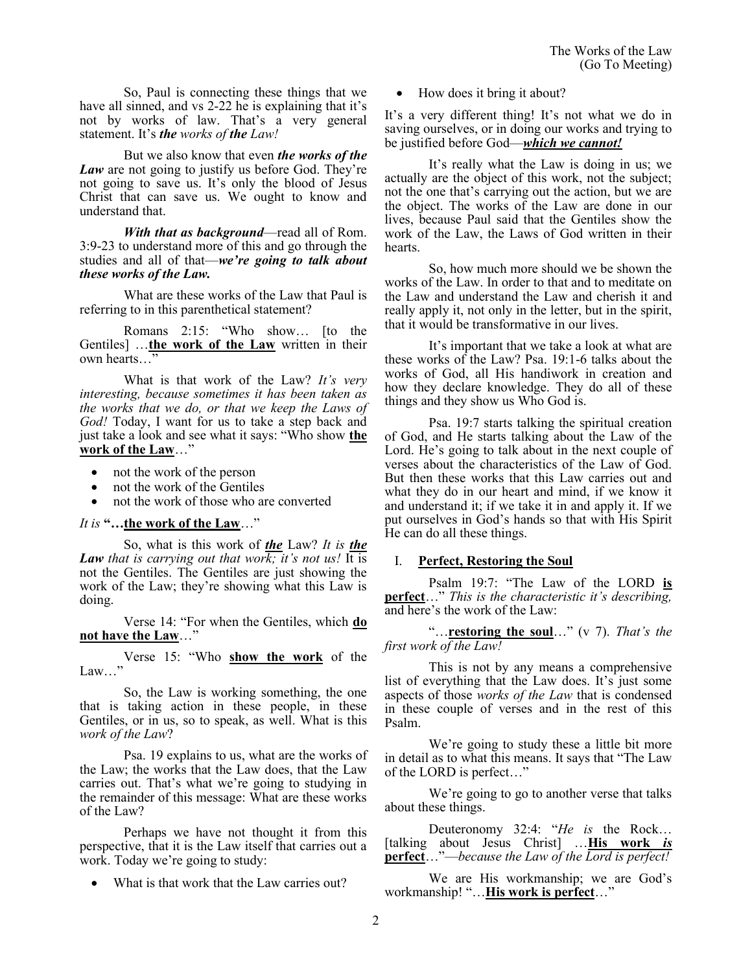So, Paul is connecting these things that we have all sinned, and vs 2-22 he is explaining that it's not by works of law. That's a very general statement. It's *the works of the Law!*

But we also know that even *the works of the Law* are not going to justify us before God. They're not going to save us. It's only the blood of Jesus Christ that can save us. We ought to know and understand that.

*With that as background*—read all of Rom. 3:9-23 to understand more of this and go through the studies and all of that—*we're going to talk about these works of the Law.*

What are these works of the Law that Paul is referring to in this parenthetical statement?

Romans 2:15: "Who show… [to the Gentiles] …**the work of the Law** written in their own hearts…"

What is that work of the Law? *It's very interesting, because sometimes it has been taken as the works that we do, or that we keep the Laws of God!* Today, I want for us to take a step back and just take a look and see what it says: "Who show **the work of the Law**…"

- not the work of the person
- not the work of the Gentiles
- not the work of those who are converted

## *It is* **"…the work of the Law**…"

So, what is this work of *the* Law? *It is the Law that is carrying out that work; it's not us!* It is not the Gentiles. The Gentiles are just showing the work of the Law; they're showing what this Law is doing.

Verse 14: "For when the Gentiles, which **do not have the Law**…"

Verse 15: "Who **show the work** of the Law…"

So, the Law is working something, the one that is taking action in these people, in these Gentiles, or in us, so to speak, as well. What is this *work of the Law*?

Psa. 19 explains to us, what are the works of the Law; the works that the Law does, that the Law carries out. That's what we're going to studying in the remainder of this message: What are these works of the Law?

Perhaps we have not thought it from this perspective, that it is the Law itself that carries out a work. Today we're going to study:

What is that work that the Law carries out?

• How does it bring it about?

It's a very different thing! It's not what we do in saving ourselves, or in doing our works and trying to be justified before God—*which we cannot!*

It's really what the Law is doing in us; we actually are the object of this work, not the subject; not the one that's carrying out the action, but we are the object. The works of the Law are done in our lives, because Paul said that the Gentiles show the work of the Law, the Laws of God written in their hearts.

So, how much more should we be shown the works of the Law. In order to that and to meditate on the Law and understand the Law and cherish it and really apply it, not only in the letter, but in the spirit, that it would be transformative in our lives.

It's important that we take a look at what are these works of the Law? Psa. 19:1-6 talks about the works of God, all His handiwork in creation and how they declare knowledge. They do all of these things and they show us Who God is.

Psa. 19:7 starts talking the spiritual creation of God, and He starts talking about the Law of the Lord. He's going to talk about in the next couple of verses about the characteristics of the Law of God. But then these works that this Law carries out and what they do in our heart and mind, if we know it and understand it; if we take it in and apply it. If we put ourselves in God's hands so that with His Spirit He can do all these things.

## I. **Perfect, Restoring the Soul**

Psalm 19:7: "The Law of the LORD **is perfect**…" *This is the characteristic it's describing,*  and here's the work of the Law:

"…**restoring the soul**…" (v 7). *That's the first work of the Law!*

This is not by any means a comprehensive list of everything that the Law does. It's just some aspects of those *works of the Law* that is condensed in these couple of verses and in the rest of this Psalm.

We're going to study these a little bit more in detail as to what this means. It says that "The Law of the LORD is perfect…"

We're going to go to another verse that talks about these things.

Deuteronomy 32:4: "*He is* the Rock… [talking about Jesus Christ] …**His work** *is* **perfect**…"—*because the Law of the Lord is perfect!*

We are His workmanship; we are God's workmanship! "…**His work is perfect**…"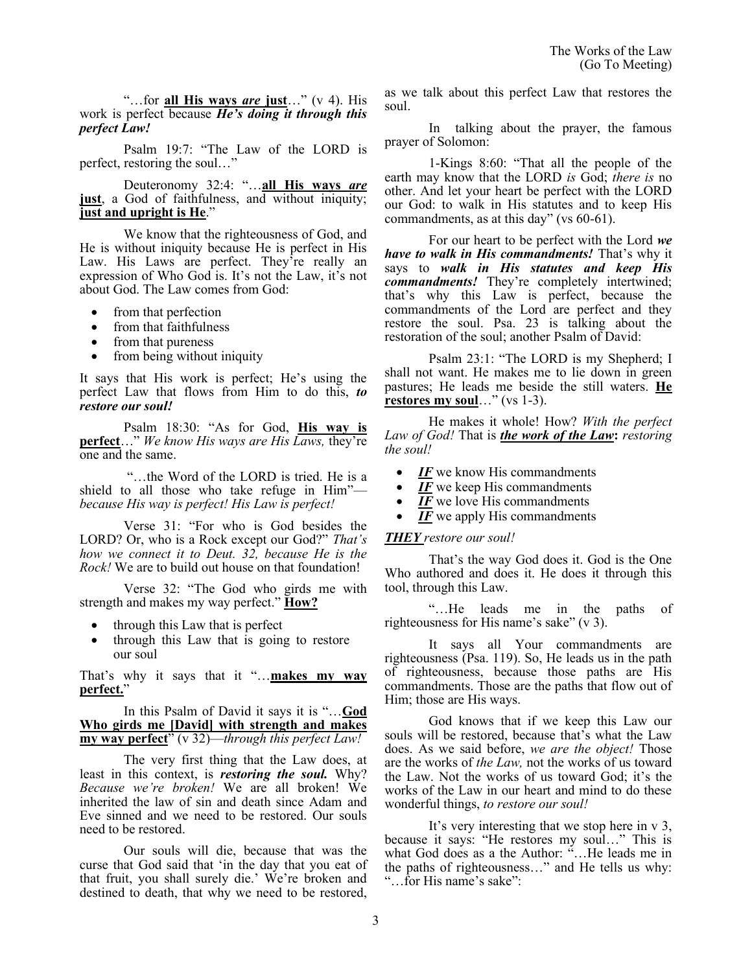"…for **all His ways** *are* **just**…" (v 4). His work is perfect because *He's doing it through this perfect Law!*

Psalm 19:7: "The Law of the LORD is perfect, restoring the soul…"

Deuteronomy 32:4: "…**all His ways** *are* **just**, a God of faithfulness, and without iniquity; **just and upright is He**."

We know that the righteousness of God, and He is without iniquity because He is perfect in His Law. His Laws are perfect. They're really an expression of Who God is. It's not the Law, it's not about God. The Law comes from God:

- from that perfection
- from that faithfulness
- from that pureness
- from being without iniquity

It says that His work is perfect; He's using the perfect Law that flows from Him to do this, *to restore our soul!*

Psalm 18:30: "As for God, **His way is perfect**…" *We know His ways are His Laws,* they're one and the same.

"…the Word of the LORD is tried. He is a shield to all those who take refuge in Him" *because His way is perfect! His Law is perfect!* 

Verse 31: "For who is God besides the LORD? Or, who is a Rock except our God?" *That's how we connect it to Deut. 32, because He is the Rock!* We are to build out house on that foundation!

Verse 32: "The God who girds me with strength and makes my way perfect." **How?**

- through this Law that is perfect
- through this Law that is going to restore our soul

That's why it says that it "…**makes my way perfect.**"

In this Psalm of David it says it is "…**God Who girds me [David] with strength and makes my way perfect**" (v 32)—*through this perfect Law!*

The very first thing that the Law does, at least in this context, is *restoring the soul.* Why? *Because we're broken!* We are all broken! We inherited the law of sin and death since Adam and Eve sinned and we need to be restored. Our souls need to be restored.

Our souls will die, because that was the curse that God said that 'in the day that you eat of that fruit, you shall surely die.' We're broken and destined to death, that why we need to be restored, as we talk about this perfect Law that restores the soul.

In talking about the prayer, the famous prayer of Solomon:

1-Kings 8:60: "That all the people of the earth may know that the LORD *is* God; *there is* no other. And let your heart be perfect with the LORD our God: to walk in His statutes and to keep His commandments, as at this day" (vs 60-61).

For our heart to be perfect with the Lord *we have to walk in His commandments!* That's why it says to *walk in His statutes and keep His commandments!* They're completely intertwined; that's why this Law is perfect, because the commandments of the Lord are perfect and they restore the soul. Psa. 23 is talking about the restoration of the soul; another Psalm of David:

Psalm 23:1: "The LORD is my Shepherd; I shall not want. He makes me to lie down in green pastures; He leads me beside the still waters. **He restores my soul**…" (vs 1-3).

He makes it whole! How? *With the perfect Law of God!* That is *the work of the Law***:** *restoring the soul!*

- **IF** we know His commandments
- *IF* we keep His commandments
- *IF* we love His commandments
- *IF* we apply His commandments

## *THEY restore our soul!*

That's the way God does it. God is the One Who authored and does it. He does it through this tool, through this Law.

"…He leads me in the paths of righteousness for His name's sake" (v 3).

It says all Your commandments are righteousness (Psa. 119). So, He leads us in the path of righteousness, because those paths are His commandments. Those are the paths that flow out of Him; those are His ways.

God knows that if we keep this Law our souls will be restored, because that's what the Law does. As we said before, *we are the object!* Those are the works of *the Law,* not the works of us toward the Law. Not the works of us toward God; it's the works of the Law in our heart and mind to do these wonderful things, *to restore our soul!*

It's very interesting that we stop here in v 3, because it says: "He restores my soul…" This is what God does as a the Author: "…He leads me in the paths of righteousness…" and He tells us why: "…for His name's sake":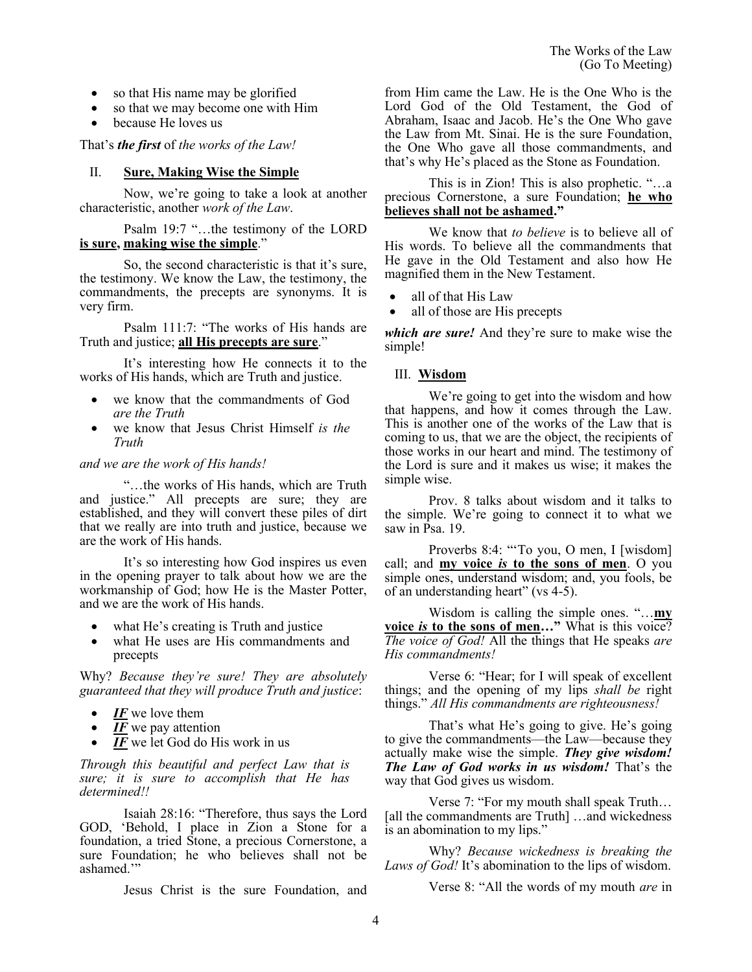- so that His name may be glorified
- so that we may become one with Him
- because He loves us

That's *the first* of *the works of the Law!*

## II. **Sure, Making Wise the Simple**

Now, we're going to take a look at another characteristic, another *work of the Law*.

## Psalm 19:7 "…the testimony of the LORD **is sure, making wise the simple**."

So, the second characteristic is that it's sure, the testimony. We know the Law, the testimony, the commandments, the precepts are synonyms. It is very firm.

Psalm 111:7: "The works of His hands are Truth and justice; **all His precepts are sure**."

It's interesting how He connects it to the works of His hands, which are Truth and justice.

- we know that the commandments of God *are the Truth*
- we know that Jesus Christ Himself *is the Truth*

## *and we are the work of His hands!*

"…the works of His hands, which are Truth and justice." All precepts are sure; they are established, and they will convert these piles of dirt that we really are into truth and justice, because we are the work of His hands.

It's so interesting how God inspires us even in the opening prayer to talk about how we are the workmanship of God; how He is the Master Potter, and we are the work of His hands.

- what He's creating is Truth and justice
- what He uses are His commandments and precepts

Why? *Because they're sure! They are absolutely guaranteed that they will produce Truth and justice*:

- IF we love them
- $\overline{IF}$  we pay attention
- $\overline{IF}$  we let God do His work in us

*Through this beautiful and perfect Law that is sure; it is sure to accomplish that He has determined!!*

Isaiah 28:16: "Therefore, thus says the Lord GOD, 'Behold, I place in Zion a Stone for a foundation, a tried Stone, a precious Cornerstone, a sure Foundation; he who believes shall not be ashamed.'"

Jesus Christ is the sure Foundation, and

from Him came the Law. He is the One Who is the Lord God of the Old Testament, the God of Abraham, Isaac and Jacob. He's the One Who gave the Law from Mt. Sinai. He is the sure Foundation, the One Who gave all those commandments, and that's why He's placed as the Stone as Foundation.

This is in Zion! This is also prophetic. "…a precious Cornerstone, a sure Foundation; **he who believes shall not be ashamed."**

We know that *to believe* is to believe all of His words. To believe all the commandments that He gave in the Old Testament and also how He magnified them in the New Testament.

- all of that His Law
- all of those are His precepts

*which are sure!* And they're sure to make wise the simple!

# III. **Wisdom**

We're going to get into the wisdom and how that happens, and how it comes through the Law. This is another one of the works of the Law that is coming to us, that we are the object, the recipients of those works in our heart and mind. The testimony of the Lord is sure and it makes us wise; it makes the simple wise.

Prov. 8 talks about wisdom and it talks to the simple. We're going to connect it to what we saw in Psa.  $19$ .

Proverbs 8:4: "To you, O men, I [wisdom] call; and **my voice** *is* **to the sons of men**. O you simple ones, understand wisdom; and, you fools, be of an understanding heart" (vs 4-5).

Wisdom is calling the simple ones. "…**my voice** *is* **to the sons of men…"** What is this voice? *The voice of God!* All the things that He speaks *are His commandments!*

Verse 6: "Hear; for I will speak of excellent things; and the opening of my lips *shall be* right things." *All His commandments are righteousness!*

That's what He's going to give. He's going to give the commandments—the Law—because they actually make wise the simple. *They give wisdom! The Law of God works in us wisdom!* That's the way that God gives us wisdom.

Verse 7: "For my mouth shall speak Truth… [all the commandments are Truth] ...and wickedness is an abomination to my lips."

Why? *Because wickedness is breaking the Laws of God!* It's abomination to the lips of wisdom.

Verse 8: "All the words of my mouth *are* in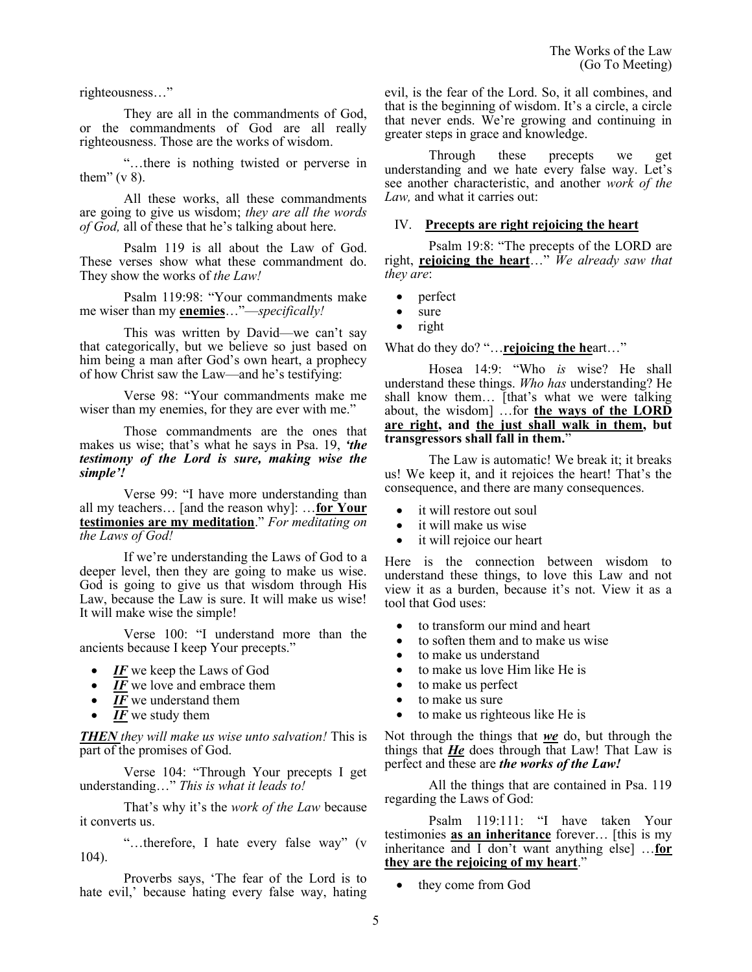righteousness…"

They are all in the commandments of God, or the commandments of God are all really righteousness. Those are the works of wisdom.

"…there is nothing twisted or perverse in them"  $(v 8)$ .

All these works, all these commandments are going to give us wisdom; *they are all the words of God,* all of these that he's talking about here.

Psalm 119 is all about the Law of God. These verses show what these commandment do. They show the works of *the Law!*

Psalm 119:98: "Your commandments make me wiser than my **enemies**…"—*specifically!* 

This was written by David—we can't say that categorically, but we believe so just based on him being a man after God's own heart, a prophecy of how Christ saw the Law—and he's testifying:

Verse 98: "Your commandments make me wiser than my enemies, for they are ever with me."

Those commandments are the ones that makes us wise; that's what he says in Psa. 19, *'the testimony of the Lord is sure, making wise the simple'!*

Verse 99: "I have more understanding than all my teachers… [and the reason why]: …**for Your testimonies are my meditation**." *For meditating on the Laws of God!*

If we're understanding the Laws of God to a deeper level, then they are going to make us wise. God is going to give us that wisdom through His Law, because the Law is sure. It will make us wise! It will make wise the simple!

Verse 100: "I understand more than the ancients because I keep Your precepts."

- *IF* we keep the Laws of God
- IF we love and embrace them
- **IF** we understand them
- *IF* we study them

*THEN they will make us wise unto salvation!* This is part of the promises of God.

Verse 104: "Through Your precepts I get understanding…" *This is what it leads to!*

That's why it's the *work of the Law* because it converts us.

"…therefore, I hate every false way" (v 104).

Proverbs says, 'The fear of the Lord is to hate evil,' because hating every false way, hating evil, is the fear of the Lord. So, it all combines, and that is the beginning of wisdom. It's a circle, a circle that never ends. We're growing and continuing in greater steps in grace and knowledge.

Through these precepts we get understanding and we hate every false way. Let's see another characteristic, and another *work of the Law,* and what it carries out:

## IV. **Precepts are right rejoicing the heart**

Psalm 19:8: "The precepts of the LORD are right, **rejoicing the heart**…" *We already saw that they are*:

- perfect
- sure
- right

What do they do? "…**rejoicing the he**art…"

Hosea 14:9: "Who *is* wise? He shall understand these things. *Who has* understanding? He shall know them… [that's what we were talking about, the wisdom] …for **the ways of the LORD are right, and the just shall walk in them, but transgressors shall fall in them.**"

The Law is automatic! We break it; it breaks us! We keep it, and it rejoices the heart! That's the consequence, and there are many consequences.

- it will restore out soul
- it will make us wise
- it will rejoice our heart

Here is the connection between wisdom to understand these things, to love this Law and not view it as a burden, because it's not. View it as a tool that God uses:

- to transform our mind and heart
- to soften them and to make us wise
- to make us understand
- to make us love Him like He is
- to make us perfect
- to make us sure
- to make us righteous like He is

Not through the things that *we* do, but through the things that *He* does through that Law! That Law is perfect and these are *the works of the Law!*

All the things that are contained in Psa. 119 regarding the Laws of God:

Psalm 119:111: "I have taken Your testimonies **as an inheritance** forever… [this is my inheritance and I don't want anything else] …**for they are the rejoicing of my heart**."

they come from God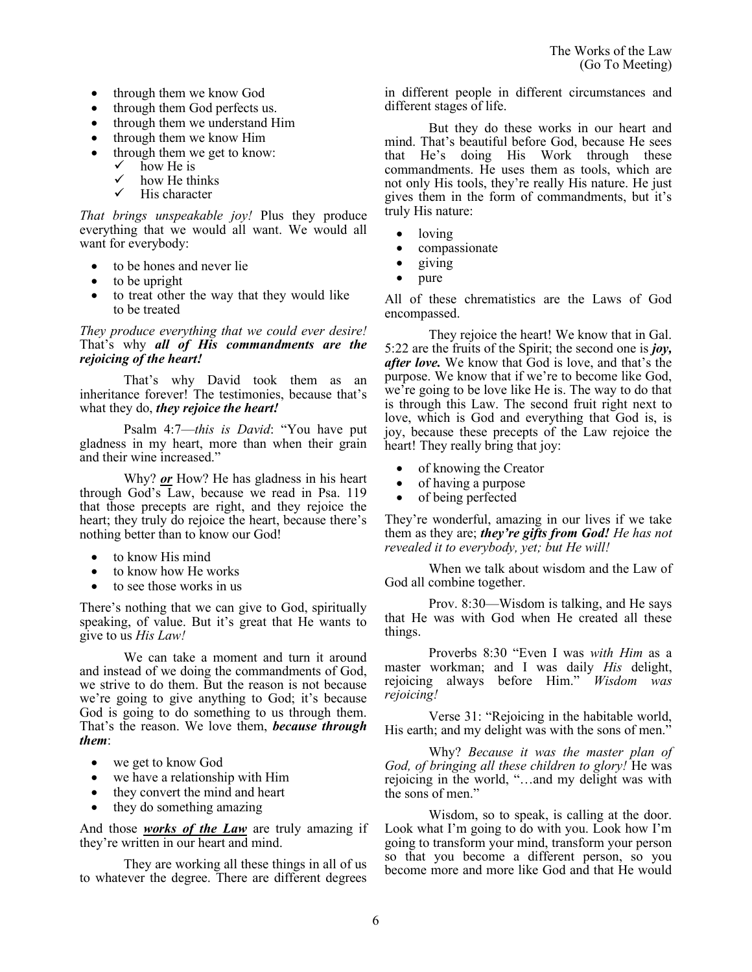- through them we know God
- through them God perfects us.
- through them we understand Him
- through them we know Him
- through them we get to know:
	- $\checkmark$  how He is<br> $\checkmark$  how He this
	- how He thinks
	- $\checkmark$  His character

*That brings unspeakable joy!* Plus they produce everything that we would all want. We would all want for everybody:

- to be hones and never lie
- to be upright
- to treat other the way that they would like to be treated

### *They produce everything that we could ever desire!* That's why *all of His commandments are the rejoicing of the heart!*

That's why David took them as an inheritance forever! The testimonies, because that's what they do, *they rejoice the heart!*

Psalm 4:7—*this is David*: "You have put gladness in my heart, more than when their grain and their wine increased."

Why? *or* How? He has gladness in his heart through God's Law, because we read in Psa. 119 that those precepts are right, and they rejoice the heart; they truly do rejoice the heart, because there's nothing better than to know our God!

- to know His mind
- to know how He works
- to see those works in us

There's nothing that we can give to God, spiritually speaking, of value. But it's great that He wants to give to us *His Law!* 

We can take a moment and turn it around and instead of we doing the commandments of God, we strive to do them. But the reason is not because we're going to give anything to God; it's because God is going to do something to us through them. That's the reason. We love them, *because through them*:

- we get to know God
- we have a relationship with Him
- they convert the mind and heart
- they do something amazing

And those *works of the Law* are truly amazing if they're written in our heart and mind.

They are working all these things in all of us to whatever the degree. There are different degrees in different people in different circumstances and different stages of life.

But they do these works in our heart and mind. That's beautiful before God, because He sees that He's doing His Work through these commandments. He uses them as tools, which are not only His tools, they're really His nature. He just gives them in the form of commandments, but it's truly His nature:

- loving
- compassionate
- giving
- pure

All of these chrematistics are the Laws of God encompassed.

They rejoice the heart! We know that in Gal. 5:22 are the fruits of the Spirit; the second one is *joy, after love.* We know that God is love, and that's the purpose. We know that if we're to become like God, we're going to be love like He is. The way to do that is through this Law. The second fruit right next to love, which is God and everything that God is, is joy, because these precepts of the Law rejoice the heart! They really bring that joy:

- of knowing the Creator
- of having a purpose
- of being perfected

They're wonderful, amazing in our lives if we take them as they are; *they're gifts from God! He has not revealed it to everybody, yet; but He will!*

When we talk about wisdom and the Law of God all combine together.

Prov. 8:30—Wisdom is talking, and He says that He was with God when He created all these things.

Proverbs 8:30 "Even I was *with Him* as a master workman; and I was daily *His* delight, rejoicing always before Him." *Wisdom was rejoicing!* 

Verse 31: "Rejoicing in the habitable world, His earth; and my delight was with the sons of men."

Why? *Because it was the master plan of God, of bringing all these children to glory!* He was rejoicing in the world, "…and my delight was with the sons of men."

Wisdom, so to speak, is calling at the door. Look what I'm going to do with you. Look how I'm going to transform your mind, transform your person so that you become a different person, so you become more and more like God and that He would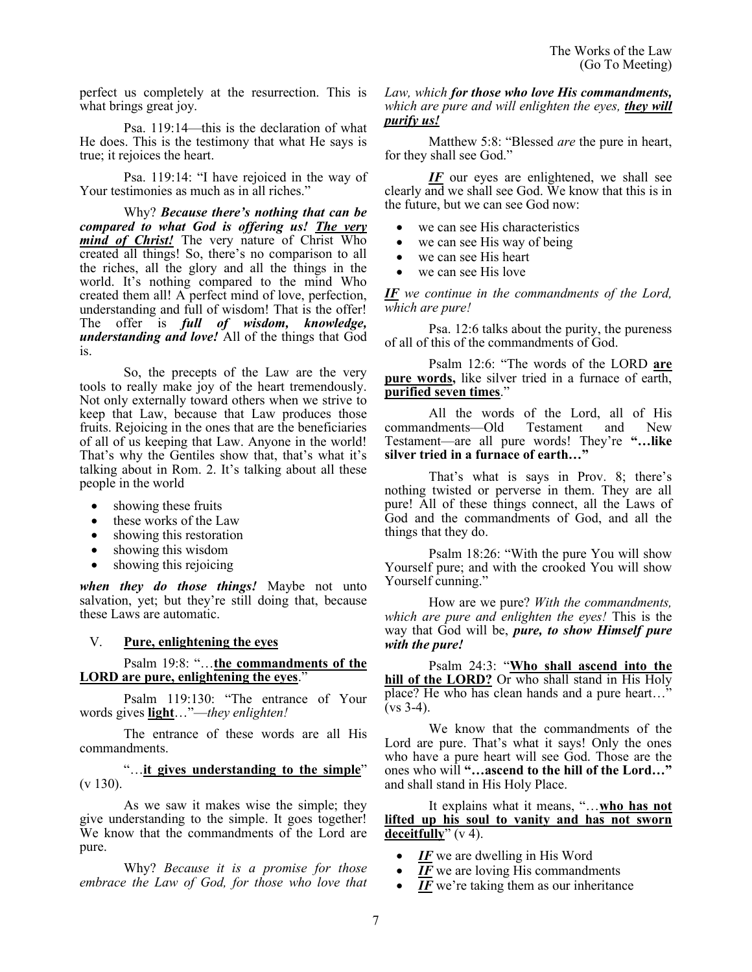perfect us completely at the resurrection. This is what brings great joy.

Psa. 119:14—this is the declaration of what He does. This is the testimony that what He says is true; it rejoices the heart.

Psa. 119:14: "I have rejoiced in the way of Your testimonies as much as in all riches."

Why? *Because there's nothing that can be compared to what God is offering us! The very mind of Christ!* The very nature of Christ Who created all things! So, there's no comparison to all the riches, all the glory and all the things in the world. It's nothing compared to the mind Who created them all! A perfect mind of love, perfection, understanding and full of wisdom! That is the offer! The offer is *full of wisdom, knowledge, understanding and love!* All of the things that God is.

So, the precepts of the Law are the very tools to really make joy of the heart tremendously. Not only externally toward others when we strive to keep that Law, because that Law produces those fruits. Rejoicing in the ones that are the beneficiaries of all of us keeping that Law. Anyone in the world! That's why the Gentiles show that, that's what it's talking about in Rom. 2. It's talking about all these people in the world

- showing these fruits
- these works of the Law
- showing this restoration
- showing this wisdom
- showing this rejoicing

*when they do those things!* Maybe not unto salvation, yet; but they're still doing that, because these Laws are automatic.

#### V. **Pure, enlightening the eyes**

### Psalm 19:8: "…**the commandments of the LORD are pure, enlightening the eyes**."

Psalm 119:130: "The entrance of Your words gives **light**…"—*they enlighten!*

The entrance of these words are all His commandments.

"…**it gives understanding to the simple**" (v 130).

As we saw it makes wise the simple; they give understanding to the simple. It goes together! We know that the commandments of the Lord are pure.

Why? *Because it is a promise for those embrace the Law of God, for those who love that* 

### *Law, which for those who love His commandments, which are pure and will enlighten the eyes, they will purify us!*

Matthew 5:8: "Blessed *are* the pure in heart, for they shall see God."

*IF* our eyes are enlightened, we shall see clearly and we shall see God. We know that this is in the future, but we can see God now:

- we can see His characteristics
- we can see His way of being
- we can see His heart
- we can see His love

*IF we continue in the commandments of the Lord, which are pure!*

Psa. 12:6 talks about the purity, the pureness of all of this of the commandments of God.

Psalm 12:6: "The words of the LORD **are pure words,** like silver tried in a furnace of earth, **purified seven times**."

All the words of the Lord, all of His commandments—Old Testament and New Testament—are all pure words! They're **"…like silver tried in a furnace of earth…"**

That's what is says in Prov. 8; there's nothing twisted or perverse in them. They are all pure! All of these things connect, all the Laws of God and the commandments of God, and all the things that they do.

Psalm 18:26: "With the pure You will show Yourself pure; and with the crooked You will show Yourself cunning."

How are we pure? *With the commandments, which are pure and enlighten the eyes!* This is the way that God will be, *pure, to show Himself pure with the pure!*

Psalm 24:3: "**Who shall ascend into the hill of the LORD?** Or who shall stand in His Holy place? He who has clean hands and a pure heart...'  $\overline{(\text{vs } 3-4)}$ .

We know that the commandments of the Lord are pure. That's what it says! Only the ones who have a pure heart will see God. Those are the ones who will **"…ascend to the hill of the Lord…"** and shall stand in His Holy Place.

It explains what it means, "…**who has not lifted up his soul to vanity and has not sworn deceitfully**" (v 4).

- *IF* we are dwelling in His Word
- *IF* we are loving His commandments
- IF we're taking them as our inheritance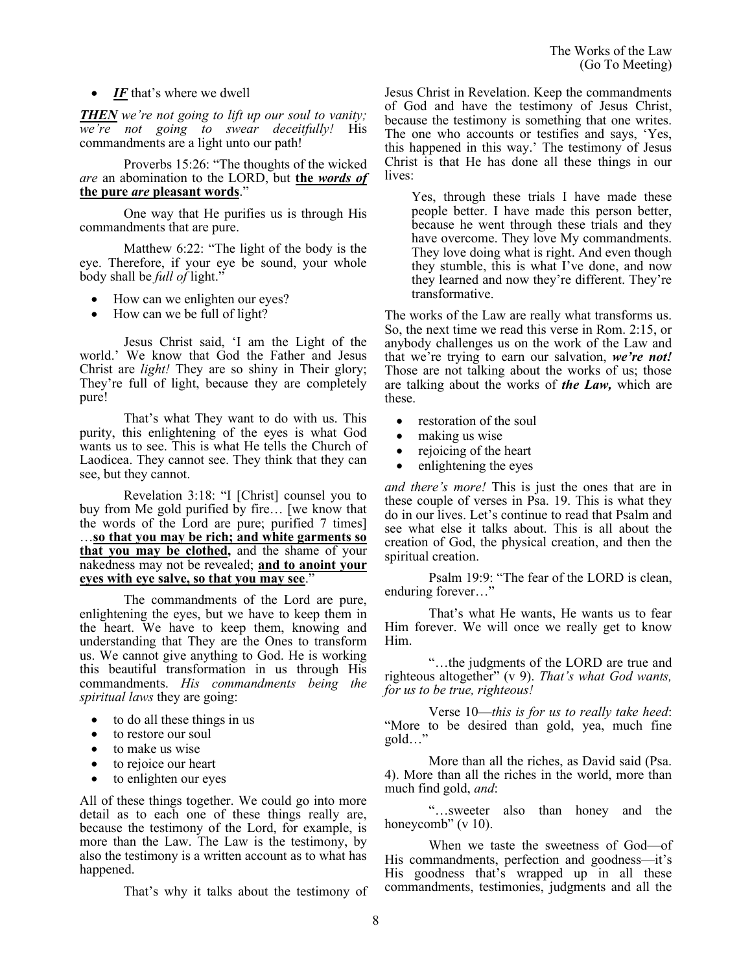# • *IF* that's where we dwell

*THEN we're not going to lift up our soul to vanity; we're not going to swear deceitfully!* His commandments are a light unto our path!

Proverbs 15:26: "The thoughts of the wicked *are* an abomination to the LORD, but **the** *words of*  **the pure** *are* **pleasant words**."

One way that He purifies us is through His commandments that are pure.

Matthew 6:22: "The light of the body is the eye. Therefore, if your eye be sound, your whole body shall be *full of* light."

- How can we enlighten our eyes?
- How can we be full of light?

Jesus Christ said, 'I am the Light of the world.' We know that God the Father and Jesus Christ are *light!* They are so shiny in Their glory; They're full of light, because they are completely pure!

That's what They want to do with us. This purity, this enlightening of the eyes is what God wants us to see. This is what He tells the Church of Laodicea. They cannot see. They think that they can see, but they cannot.

Revelation 3:18: "I [Christ] counsel you to buy from Me gold purified by fire… [we know that the words of the Lord are pure; purified 7 times] …**so that you may be rich; and white garments so that you may be clothed,** and the shame of your nakedness may not be revealed; **and to anoint your eyes with eye salve, so that you may see**."

The commandments of the Lord are pure, enlightening the eyes, but we have to keep them in the heart. We have to keep them, knowing and understanding that They are the Ones to transform us. We cannot give anything to God. He is working this beautiful transformation in us through His commandments. *His commandments being the spiritual laws* they are going:

- to do all these things in us
- to restore our soul
- to make us wise
- to rejoice our heart
- to enlighten our eyes

All of these things together. We could go into more detail as to each one of these things really are, because the testimony of the Lord, for example, is more than the Law. The Law is the testimony, by also the testimony is a written account as to what has happened.

That's why it talks about the testimony of

Jesus Christ in Revelation. Keep the commandments of God and have the testimony of Jesus Christ, because the testimony is something that one writes. The one who accounts or testifies and says, 'Yes, this happened in this way.' The testimony of Jesus Christ is that He has done all these things in our lives:

Yes, through these trials I have made these people better. I have made this person better, because he went through these trials and they have overcome. They love My commandments. They love doing what is right. And even though they stumble, this is what I've done, and now they learned and now they're different. They're transformative.

The works of the Law are really what transforms us. So, the next time we read this verse in Rom. 2:15, or anybody challenges us on the work of the Law and that we're trying to earn our salvation, *we're not!* Those are not talking about the works of us; those are talking about the works of *the Law,* which are these.

- restoration of the soul
- making us wise
- rejoicing of the heart
- enlightening the eyes

*and there's more!* This is just the ones that are in these couple of verses in Psa. 19. This is what they do in our lives. Let's continue to read that Psalm and see what else it talks about. This is all about the creation of God, the physical creation, and then the spiritual creation.

Psalm 19:9: "The fear of the LORD is clean, enduring forever…"

That's what He wants, He wants us to fear Him forever. We will once we really get to know Him.

"…the judgments of the LORD are true and righteous altogether" (v 9). *That's what God wants, for us to be true, righteous!*

Verse 10—*this is for us to really take heed*: "More to be desired than gold, yea, much fine gold…"

More than all the riches, as David said (Psa. 4). More than all the riches in the world, more than much find gold, *and*:

"…sweeter also than honey and the honeycomb" (v 10).

When we taste the sweetness of God—of His commandments, perfection and goodness—it's His goodness that's wrapped up in all these commandments, testimonies, judgments and all the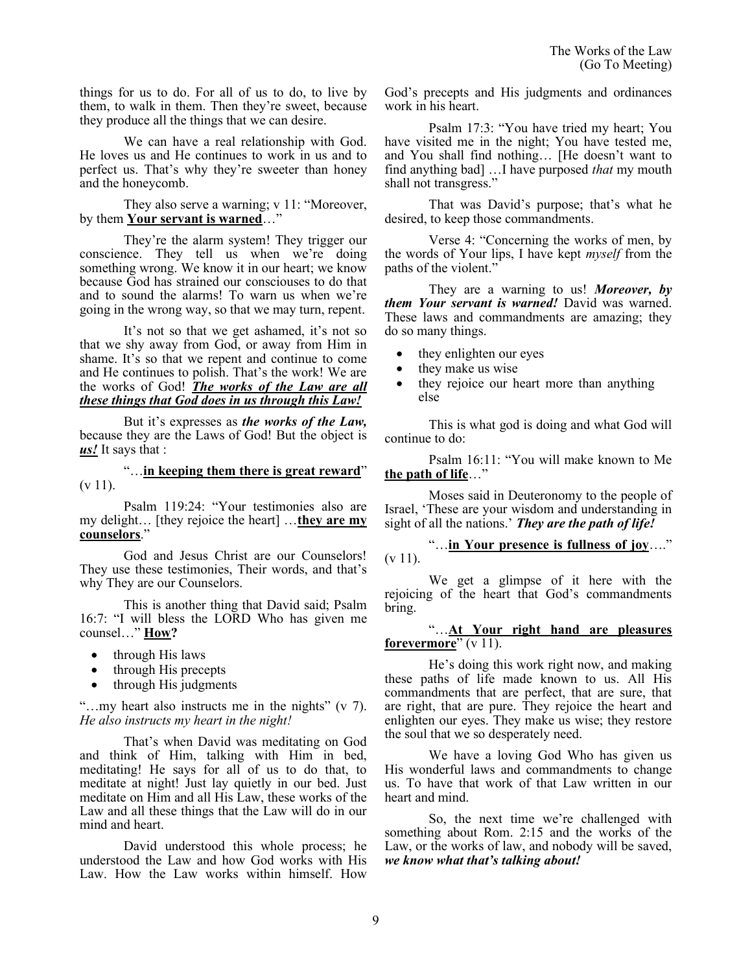things for us to do. For all of us to do, to live by them, to walk in them. Then they're sweet, because they produce all the things that we can desire.

We can have a real relationship with God. He loves us and He continues to work in us and to perfect us. That's why they're sweeter than honey and the honeycomb.

They also serve a warning; v 11: "Moreover, by them **Your servant is warned**…"

They're the alarm system! They trigger our conscience. They tell us when we're doing something wrong. We know it in our heart; we know because God has strained our consciouses to do that and to sound the alarms! To warn us when we're going in the wrong way, so that we may turn, repent.

It's not so that we get ashamed, it's not so that we shy away from God, or away from Him in shame. It's so that we repent and continue to come and He continues to polish. That's the work! We are the works of God! *The works of the Law are all these things that God does in us through this Law!*

But it's expresses as *the works of the Law,* because they are the Laws of God! But the object is *us!* It says that :

"…**in keeping them there is great reward**"  $(v 11)$ .

Psalm 119:24: "Your testimonies also are my delight… [they rejoice the heart] …**they are my counselors**."

God and Jesus Christ are our Counselors! They use these testimonies, Their words, and that's why They are our Counselors.

This is another thing that David said; Psalm 16:7: "I will bless the LORD Who has given me counsel…" **How?**

- through His laws
- through His precepts
- through His judgments

"…my heart also instructs me in the nights" (v 7). *He also instructs my heart in the night!*

That's when David was meditating on God and think of Him, talking with Him in bed, meditating! He says for all of us to do that, to meditate at night! Just lay quietly in our bed. Just meditate on Him and all His Law, these works of the Law and all these things that the Law will do in our mind and heart.

David understood this whole process; he understood the Law and how God works with His Law. How the Law works within himself. How

God's precepts and His judgments and ordinances work in his heart.

Psalm 17:3: "You have tried my heart; You have visited me in the night; You have tested me, and You shall find nothing… [He doesn't want to find anything bad] …I have purposed *that* my mouth shall not transgress."

That was David's purpose; that's what he desired, to keep those commandments.

Verse 4: "Concerning the works of men, by the words of Your lips, I have kept *myself* from the paths of the violent."

They are a warning to us! *Moreover, by them Your servant is warned!* David was warned. These laws and commandments are amazing; they do so many things.

- they enlighten our eyes
- they make us wise
- they rejoice our heart more than anything else

This is what god is doing and what God will continue to do:

Psalm 16:11: "You will make known to Me **the path of life**…"

Moses said in Deuteronomy to the people of Israel, 'These are your wisdom and understanding in sight of all the nations.' *They are the path of life!*

"…**in Your presence is fullness of joy**…."  $(v 11)$ .

We get a glimpse of it here with the rejoicing of the heart that God's commandments bring.

## "…**At Your right hand are pleasures forevermore**" (v 11).

He's doing this work right now, and making these paths of life made known to us. All His commandments that are perfect, that are sure, that are right, that are pure. They rejoice the heart and enlighten our eyes. They make us wise; they restore the soul that we so desperately need.

We have a loving God Who has given us His wonderful laws and commandments to change us. To have that work of that Law written in our heart and mind.

So, the next time we're challenged with something about Rom. 2:15 and the works of the Law, or the works of law, and nobody will be saved, *we know what that's talking about!*